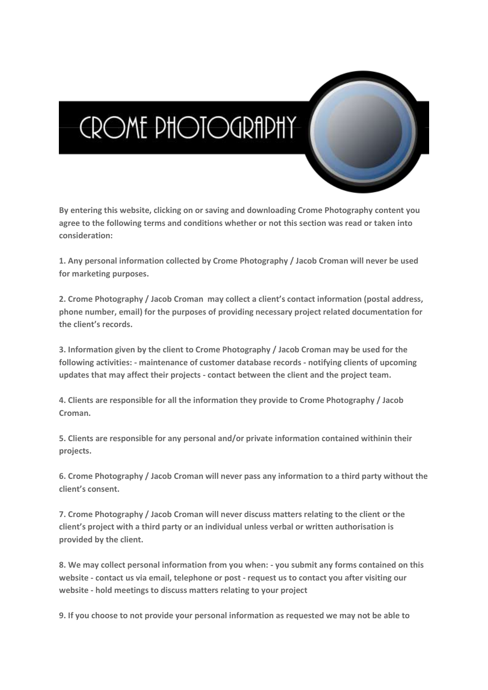## **CROME PHOTOGRAPHY**

**By entering this website, clicking on or saving and downloading Crome Photography content you agree to the following terms and conditions whether or not this section was read or taken into consideration:**

**1. Any personal information collected by Crome Photography / Jacob Croman will never be used for marketing purposes.**

**2. Crome Photography / Jacob Croman may collect a client's contact information (postal address, phone number, email) for the purposes of providing necessary project related documentation for the client's records.**

**3. Information given by the client to Crome Photography / Jacob Croman may be used for the following activities: - maintenance of customer database records - notifying clients of upcoming updates that may affect their projects - contact between the client and the project team.**

**4. Clients are responsible for all the information they provide to Crome Photography / Jacob Croman.**

**5. Clients are responsible for any personal and/or private information contained withinin their projects.**

**6. Crome Photography / Jacob Croman will never pass any information to a third party without the client's consent.**

**7. Crome Photography / Jacob Croman will never discuss matters relating to the client or the client's project with a third party or an individual unless verbal or written authorisation is provided by the client.**

**8. We may collect personal information from you when: - you submit any forms contained on this website - contact us via email, telephone or post - request us to contact you after visiting our website - hold meetings to discuss matters relating to your project**

**9. If you choose to not provide your personal information as requested we may not be able to**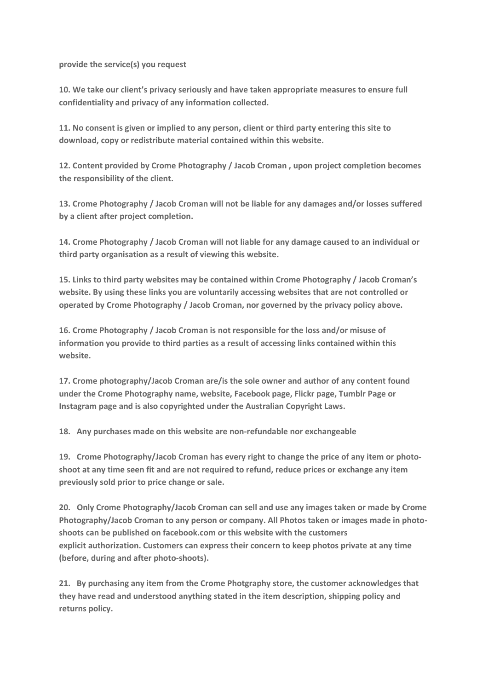**provide the service(s) you request**

**10. We take our client's privacy seriously and have taken appropriate measures to ensure full confidentiality and privacy of any information collected.**

**11. No consent is given or implied to any person, client or third party entering this site to download, copy or redistribute material contained within this website.**

**12. Content provided by Crome Photography / Jacob Croman , upon project completion becomes the responsibility of the client.**

**13. Crome Photography / Jacob Croman will not be liable for any damages and/or losses suffered by a client after project completion.**

**14. Crome Photography / Jacob Croman will not liable for any damage caused to an individual or third party organisation as a result of viewing this website.**

**15. Links to third party websites may be contained within Crome Photography / Jacob Croman's website. By using these links you are voluntarily accessing websites that are not controlled or operated by Crome Photography / Jacob Croman, nor governed by the privacy policy above.**

**16. Crome Photography / Jacob Croman is not responsible for the loss and/or misuse of information you provide to third parties as a result of accessing links contained within this website.**

**17. Crome photography/Jacob Croman are/is the sole owner and author of any content found under the Crome Photography name, website, Facebook page, Flickr page, Tumblr Page or Instagram page and is also copyrighted under the Australian Copyright Laws.**

**18. Any purchases made on this website are non-refundable nor exchangeable**

**19. Crome Photography/Jacob Croman has every right to change the price of any item or photoshoot at any time seen fit and are not required to refund, reduce prices or exchange any item previously sold prior to price change or sale.**

**20. Only Crome Photography/Jacob Croman can sell and use any images taken or made by Crome Photography/Jacob Croman to any person or company. All Photos taken or images made in photoshoots can be published on facebook.com or this website with the customers explicit authorization. Customers can express their concern to keep photos private at any time (before, during and after photo-shoots).**

**21. By purchasing any item from the Crome Photgraphy store, the customer acknowledges that they have read and understood anything stated in the item description, shipping policy and returns policy.**